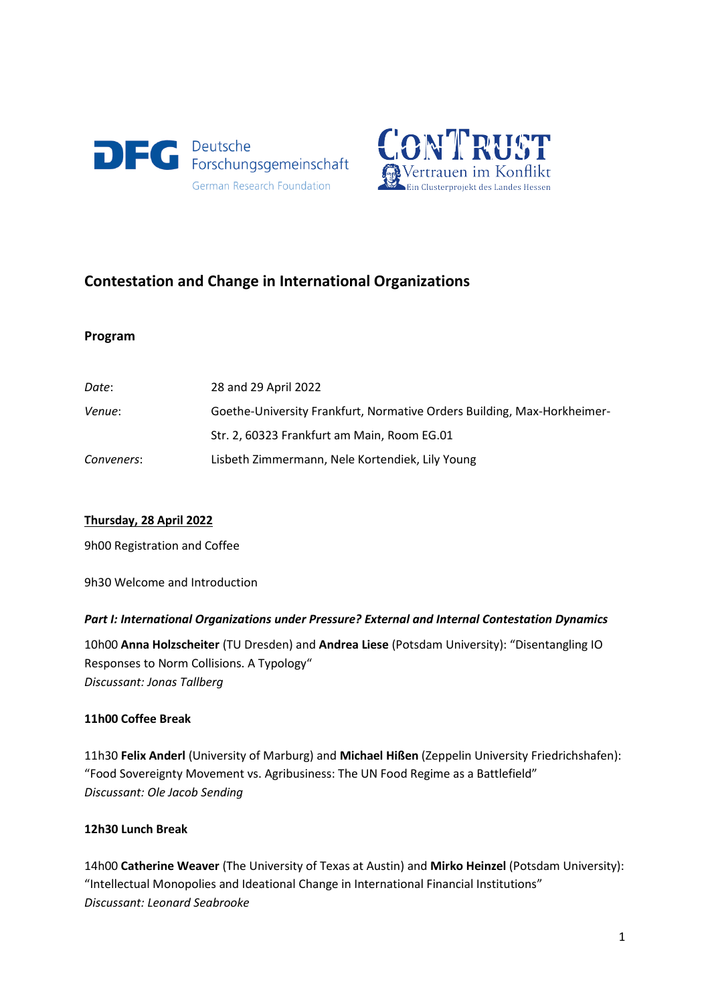



# **Contestation and Change in International Organizations**

#### **Program**

| Date:      | 28 and 29 April 2022                                                    |
|------------|-------------------------------------------------------------------------|
| Venue:     | Goethe-University Frankfurt, Normative Orders Building, Max-Horkheimer- |
|            | Str. 2, 60323 Frankfurt am Main, Room EG.01                             |
| Conveners: | Lisbeth Zimmermann, Nele Kortendiek, Lily Young                         |

### **Thursday, 28 April 2022**

9h00 Registration and Coffee

9h30 Welcome and Introduction

### *Part I: International Organizations under Pressure? External and Internal Contestation Dynamics*

10h00 **Anna Holzscheiter** (TU Dresden) and **Andrea Liese** (Potsdam University): "Disentangling IO Responses to Norm Collisions. A Typology" *Discussant: Jonas Tallberg*

### **11h00 Coffee Break**

11h30 **Felix Anderl** (University of Marburg) and **Michael Hißen** (Zeppelin University Friedrichshafen): "Food Sovereignty Movement vs. Agribusiness: The UN Food Regime as a Battlefield" *Discussant: Ole Jacob Sending*

### **12h30 Lunch Break**

14h00 **Catherine Weaver** (The University of Texas at Austin) and **Mirko Heinzel** (Potsdam University): "Intellectual Monopolies and Ideational Change in International Financial Institutions" *Discussant: Leonard Seabrooke*